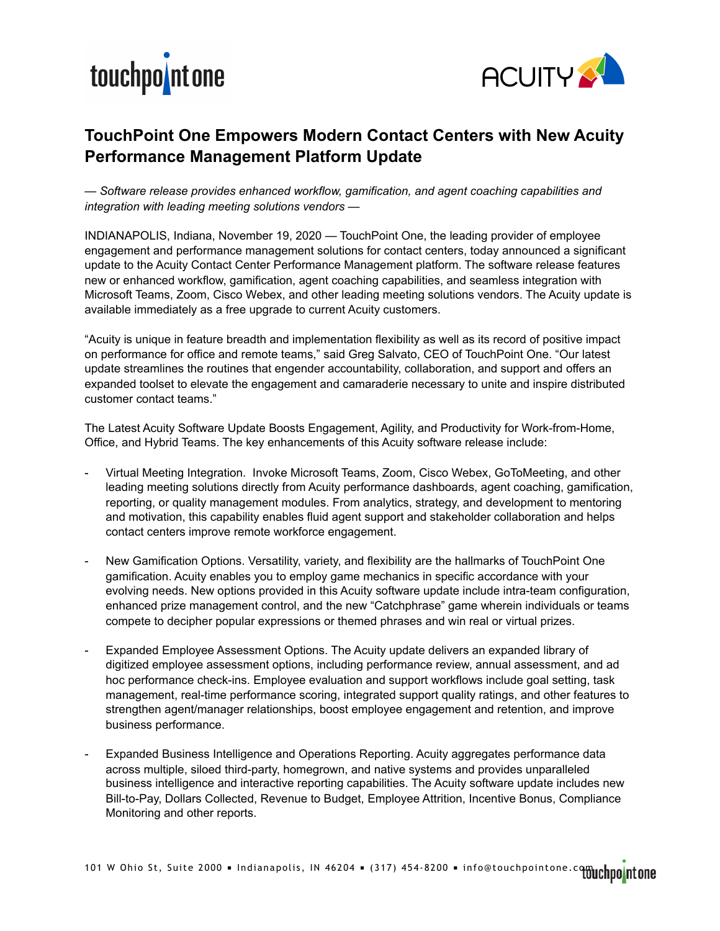



## **TouchPoint One Empowers Modern Contact Centers with New Acuity Performance Management Platform Update**

*— Software release provides enhanced workflow, gamification, and agent coaching capabilities and integration with leading meeting solutions vendors —* 

INDIANAPOLIS, Indiana, November 19, 2020 — TouchPoint One, the leading provider of employee engagement and performance management solutions for contact centers, today announced a significant update to the Acuity Contact Center Performance Management platform. The software release features new or enhanced workflow, gamification, agent coaching capabilities, and seamless integration with Microsoft Teams, Zoom, Cisco Webex, and other leading meeting solutions vendors. The Acuity update is available immediately as a free upgrade to current Acuity customers.

"Acuity is unique in feature breadth and implementation flexibility as well as its record of positive impact on performance for office and remote teams," said Greg Salvato, CEO of TouchPoint One. "Our latest update streamlines the routines that engender accountability, collaboration, and support and offers an expanded toolset to elevate the engagement and camaraderie necessary to unite and inspire distributed customer contact teams."

The Latest Acuity Software Update Boosts Engagement, Agility, and Productivity for Work-from-Home, Office, and Hybrid Teams. The key enhancements of this Acuity software release include:

- Virtual Meeting Integration. Invoke Microsoft Teams, Zoom, Cisco Webex, GoToMeeting, and other leading meeting solutions directly from Acuity performance dashboards, agent coaching, gamification, reporting, or quality management modules. From analytics, strategy, and development to mentoring and motivation, this capability enables fluid agent support and stakeholder collaboration and helps contact centers improve remote workforce engagement.
- New Gamification Options. Versatility, variety, and flexibility are the hallmarks of TouchPoint One gamification. Acuity enables you to employ game mechanics in specific accordance with your evolving needs. New options provided in this Acuity software update include intra-team configuration, enhanced prize management control, and the new "Catchphrase" game wherein individuals or teams compete to decipher popular expressions or themed phrases and win real or virtual prizes.
- Expanded Employee Assessment Options. The Acuity update delivers an expanded library of digitized employee assessment options, including performance review, annual assessment, and ad hoc performance check-ins. Employee evaluation and support workflows include goal setting, task management, real-time performance scoring, integrated support quality ratings, and other features to strengthen agent/manager relationships, boost employee engagement and retention, and improve business performance.
- Expanded Business Intelligence and Operations Reporting. Acuity aggregates performance data across multiple, siloed third-party, homegrown, and native systems and provides unparalleled business intelligence and interactive reporting capabilities. The Acuity software update includes new Bill-to-Pay, Dollars Collected, Revenue to Budget, Employee Attrition, Incentive Bonus, Compliance Monitoring and other reports.